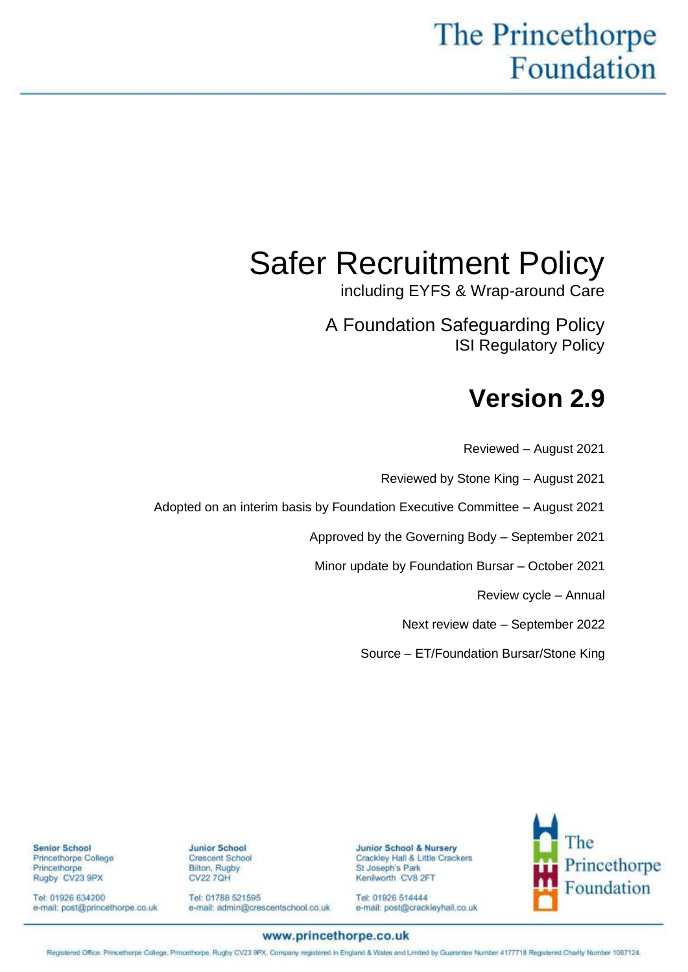# The Princethorpe Foundation

# Safer Recruitment Policy

including EYFS & Wrap-around Care

A Foundation Safeguarding Policy ISI Regulatory Policy

# **Version 2.9**

Reviewed – August 2021 Reviewed by Stone King – August 2021 Adopted on an interim basis by Foundation Executive Committee – August 2021 Approved by the Governing Body – September 2021 Minor update by Foundation Bursar – October 2021 Review cycle – Annual Next review date – September 2022 Source – ET/Foundation Bursar/Stone King

> **Junior School & Nursery** Crackley Hall & Little Crackers St Joseph's Park Kenilworth, CV8 2FT

Tel: 01926 514444 e-mail: post@crackleyhall.co.uk



**Junior School** Crescent School **Bilton, Rugby CV22 7QH** 

Tel: 01788 521595 e-mail: admin@crescentschool.co.uk

Tel: 01926 634200 e-mail: post@princethorpe.co.uk

**Senior School** 

Princethorpe

Princethorpe College

Rugby CV23 9PX

14102242.1

#### www.princethorpe.co.uk

Registered Office: Princethorpe College, Princethorpe, Rugby CV23 9PX, Company registered in England & Wales and Limited by Guarantee Number 4177718 Registered Charlty Number 1087124.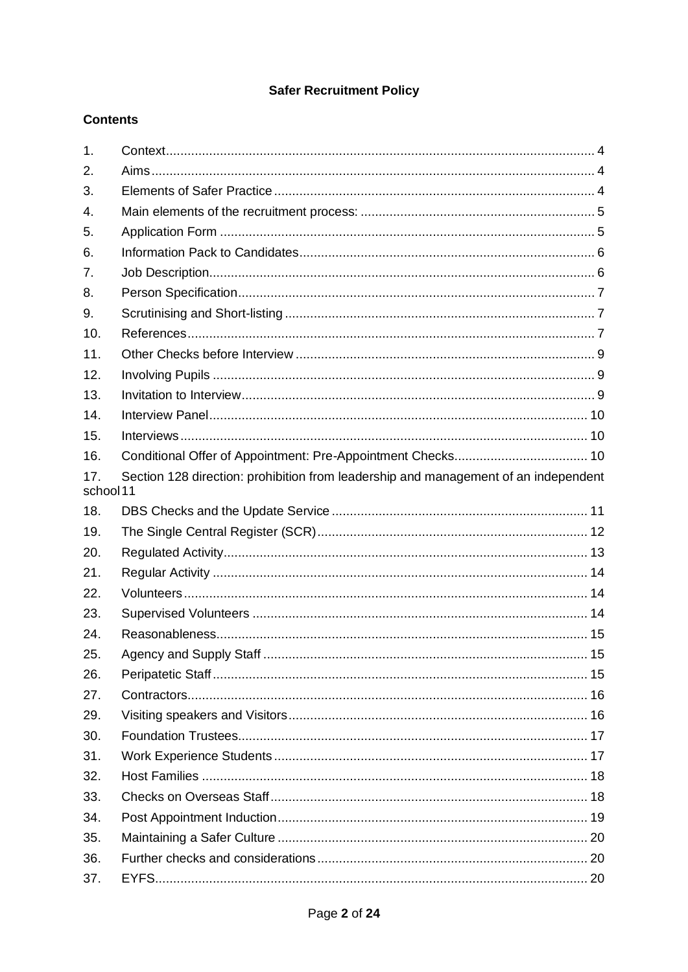# **Safer Recruitment Policy**

# **Contents**

| 1.               |                                                                                     |  |
|------------------|-------------------------------------------------------------------------------------|--|
| 2.               |                                                                                     |  |
| 3.               |                                                                                     |  |
| $\overline{4}$ . |                                                                                     |  |
| 5.               |                                                                                     |  |
| 6.               |                                                                                     |  |
| 7 <sub>1</sub>   |                                                                                     |  |
| 8.               |                                                                                     |  |
| 9.               |                                                                                     |  |
| 10.              |                                                                                     |  |
| 11.              |                                                                                     |  |
| 12.              |                                                                                     |  |
| 13.              |                                                                                     |  |
| 14.              |                                                                                     |  |
| 15.              |                                                                                     |  |
| 16.              |                                                                                     |  |
| 17.<br>school 11 | Section 128 direction: prohibition from leadership and management of an independent |  |
| 18.              |                                                                                     |  |
| 19.              |                                                                                     |  |
| 20.              |                                                                                     |  |
| 21.              |                                                                                     |  |
| 22.              |                                                                                     |  |
| 23.              |                                                                                     |  |
| 24.              |                                                                                     |  |
| 25.              |                                                                                     |  |
| 26.              |                                                                                     |  |
| 27.              |                                                                                     |  |
| 29.              |                                                                                     |  |
| 30.              |                                                                                     |  |
| 31.              |                                                                                     |  |
| 32.              |                                                                                     |  |
| 33.              |                                                                                     |  |
| 34.              |                                                                                     |  |
| 35.              |                                                                                     |  |
| 36.              |                                                                                     |  |
| 37.              |                                                                                     |  |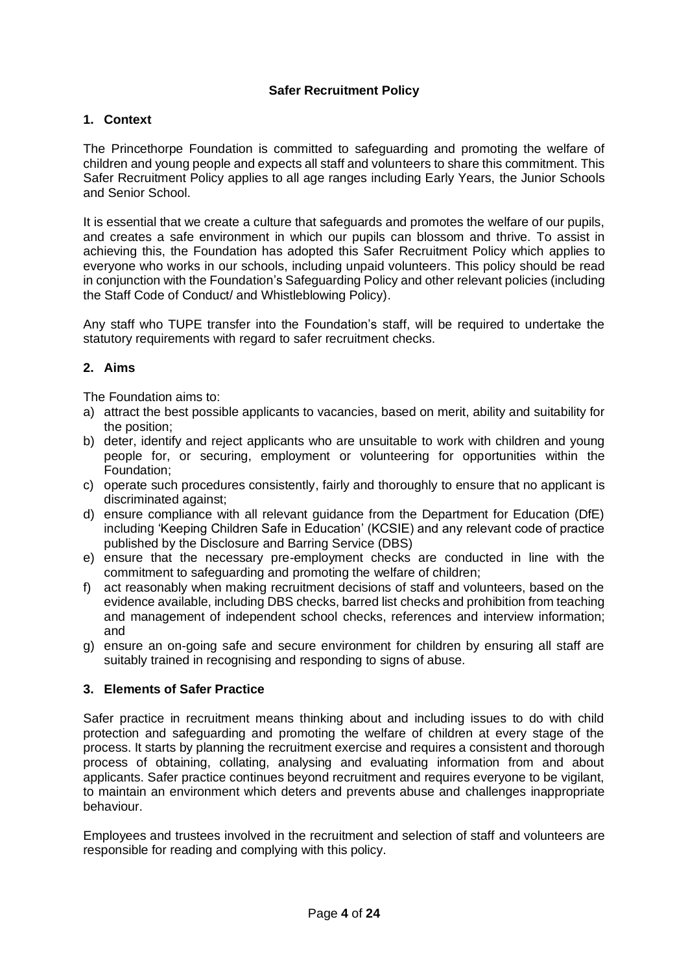# **Safer Recruitment Policy**

#### <span id="page-3-0"></span>**1. Context**

The Princethorpe Foundation is committed to safeguarding and promoting the welfare of children and young people and expects all staff and volunteers to share this commitment. This Safer Recruitment Policy applies to all age ranges including Early Years, the Junior Schools and Senior School.

It is essential that we create a culture that safeguards and promotes the welfare of our pupils, and creates a safe environment in which our pupils can blossom and thrive. To assist in achieving this, the Foundation has adopted this Safer Recruitment Policy which applies to everyone who works in our schools, including unpaid volunteers. This policy should be read in conjunction with the Foundation's Safeguarding Policy and other relevant policies (including the Staff Code of Conduct/ and Whistleblowing Policy).

Any staff who TUPE transfer into the Foundation's staff, will be required to undertake the statutory requirements with regard to safer recruitment checks.

#### <span id="page-3-1"></span>**2. Aims**

The Foundation aims to:

- a) attract the best possible applicants to vacancies, based on merit, ability and suitability for the position;
- b) deter, identify and reject applicants who are unsuitable to work with children and young people for, or securing, employment or volunteering for opportunities within the Foundation;
- c) operate such procedures consistently, fairly and thoroughly to ensure that no applicant is discriminated against;
- d) ensure compliance with all relevant guidance from the Department for Education (DfE) including 'Keeping Children Safe in Education' (KCSIE) and any relevant code of practice published by the Disclosure and Barring Service (DBS)
- e) ensure that the necessary pre-employment checks are conducted in line with the commitment to safeguarding and promoting the welfare of children;
- f) act reasonably when making recruitment decisions of staff and volunteers, based on the evidence available, including DBS checks, barred list checks and prohibition from teaching and management of independent school checks, references and interview information; and
- g) ensure an on-going safe and secure environment for children by ensuring all staff are suitably trained in recognising and responding to signs of abuse.

#### <span id="page-3-2"></span>**3. Elements of Safer Practice**

Safer practice in recruitment means thinking about and including issues to do with child protection and safeguarding and promoting the welfare of children at every stage of the process. It starts by planning the recruitment exercise and requires a consistent and thorough process of obtaining, collating, analysing and evaluating information from and about applicants. Safer practice continues beyond recruitment and requires everyone to be vigilant, to maintain an environment which deters and prevents abuse and challenges inappropriate behaviour.

Employees and trustees involved in the recruitment and selection of staff and volunteers are responsible for reading and complying with this policy.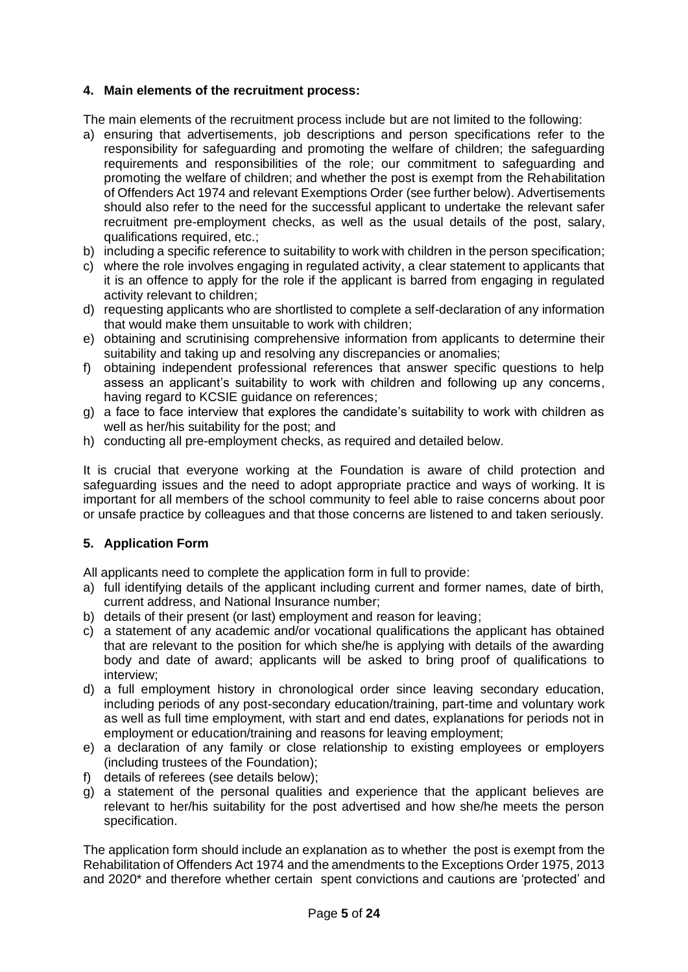# <span id="page-4-0"></span>**4. Main elements of the recruitment process:**

The main elements of the recruitment process include but are not limited to the following:

- a) ensuring that advertisements, job descriptions and person specifications refer to the responsibility for safeguarding and promoting the welfare of children; the safeguarding requirements and responsibilities of the role; our commitment to safeguarding and promoting the welfare of children; and whether the post is exempt from the Rehabilitation of Offenders Act 1974 and relevant Exemptions Order (see further below). Advertisements should also refer to the need for the successful applicant to undertake the relevant safer recruitment pre-employment checks, as well as the usual details of the post, salary, qualifications required, etc.;
- b) including a specific reference to suitability to work with children in the person specification;
- c) where the role involves engaging in regulated activity, a clear statement to applicants that it is an offence to apply for the role if the applicant is barred from engaging in regulated activity relevant to children;
- d) requesting applicants who are shortlisted to complete a self-declaration of any information that would make them unsuitable to work with children;
- e) obtaining and scrutinising comprehensive information from applicants to determine their suitability and taking up and resolving any discrepancies or anomalies;
- f) obtaining independent professional references that answer specific questions to help assess an applicant's suitability to work with children and following up any concerns, having regard to KCSIE guidance on references;
- g) a face to face interview that explores the candidate's suitability to work with children as well as her/his suitability for the post; and
- h) conducting all pre-employment checks, as required and detailed below.

It is crucial that everyone working at the Foundation is aware of child protection and safeguarding issues and the need to adopt appropriate practice and ways of working. It is important for all members of the school community to feel able to raise concerns about poor or unsafe practice by colleagues and that those concerns are listened to and taken seriously.

# <span id="page-4-1"></span>**5. Application Form**

All applicants need to complete the application form in full to provide:

- a) full identifying details of the applicant including current and former names, date of birth, current address, and National Insurance number;
- b) details of their present (or last) employment and reason for leaving;
- c) a statement of any academic and/or vocational qualifications the applicant has obtained that are relevant to the position for which she/he is applying with details of the awarding body and date of award; applicants will be asked to bring proof of qualifications to interview;
- d) a full employment history in chronological order since leaving secondary education, including periods of any post-secondary education/training, part-time and voluntary work as well as full time employment, with start and end dates, explanations for periods not in employment or education/training and reasons for leaving employment;
- e) a declaration of any family or close relationship to existing employees or employers (including trustees of the Foundation);
- f) details of referees (see details below);
- g) a statement of the personal qualities and experience that the applicant believes are relevant to her/his suitability for the post advertised and how she/he meets the person specification.

The application form should include an explanation as to whether the post is exempt from the Rehabilitation of Offenders Act 1974 and the amendments to the Exceptions Order 1975, 2013 and 2020\* and therefore whether certain spent convictions and cautions are 'protected' and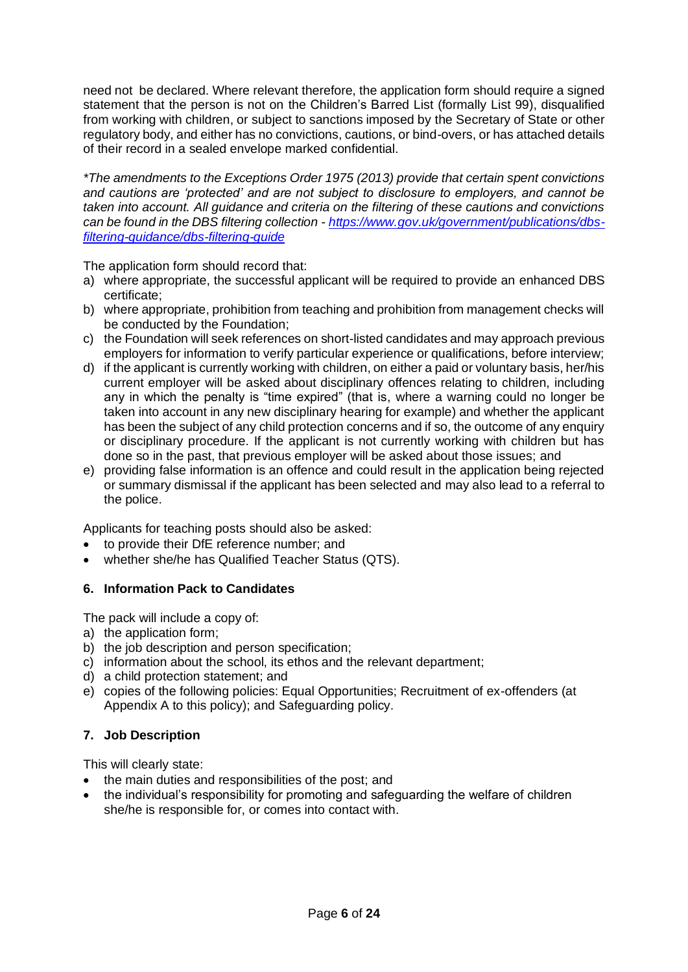need not be declared. Where relevant therefore, the application form should require a signed statement that the person is not on the Children's Barred List (formally List 99), disqualified from working with children, or subject to sanctions imposed by the Secretary of State or other regulatory body, and either has no convictions, cautions, or bind-overs, or has attached details of their record in a sealed envelope marked confidential.

*\*The amendments to the Exceptions Order 1975 (2013) provide that certain spent convictions and cautions are 'protected' and are not subject to disclosure to employers, and cannot be taken into account. All guidance and criteria on the filtering of these cautions and convictions can be found in the DBS filtering collection - [https://www.gov.uk/government/publications/dbs](https://www.gov.uk/government/publications/dbs-filtering-guidance/dbs-filtering-guide)[filtering-guidance/dbs-filtering-guide](https://www.gov.uk/government/publications/dbs-filtering-guidance/dbs-filtering-guide)*

The application form should record that:

- a) where appropriate, the successful applicant will be required to provide an enhanced DBS certificate;
- b) where appropriate, prohibition from teaching and prohibition from management checks will be conducted by the Foundation;
- c) the Foundation will seek references on short-listed candidates and may approach previous employers for information to verify particular experience or qualifications, before interview;
- d) if the applicant is currently working with children, on either a paid or voluntary basis, her/his current employer will be asked about disciplinary offences relating to children, including any in which the penalty is "time expired" (that is, where a warning could no longer be taken into account in any new disciplinary hearing for example) and whether the applicant has been the subject of any child protection concerns and if so, the outcome of any enquiry or disciplinary procedure. If the applicant is not currently working with children but has done so in the past, that previous employer will be asked about those issues; and
- e) providing false information is an offence and could result in the application being rejected or summary dismissal if the applicant has been selected and may also lead to a referral to the police.

Applicants for teaching posts should also be asked:

- to provide their DfE reference number; and
- whether she/he has Qualified Teacher Status (QTS).

#### <span id="page-5-0"></span>**6. Information Pack to Candidates**

The pack will include a copy of:

- a) the application form;
- b) the job description and person specification;
- c) information about the school, its ethos and the relevant department;
- d) a child protection statement; and
- e) copies of the following policies: Equal Opportunities; Recruitment of ex-offenders (at Appendix A to this policy); and Safeguarding policy.

#### <span id="page-5-1"></span>**7. Job Description**

This will clearly state:

- the main duties and responsibilities of the post; and
- the individual's responsibility for promoting and safeguarding the welfare of children she/he is responsible for, or comes into contact with.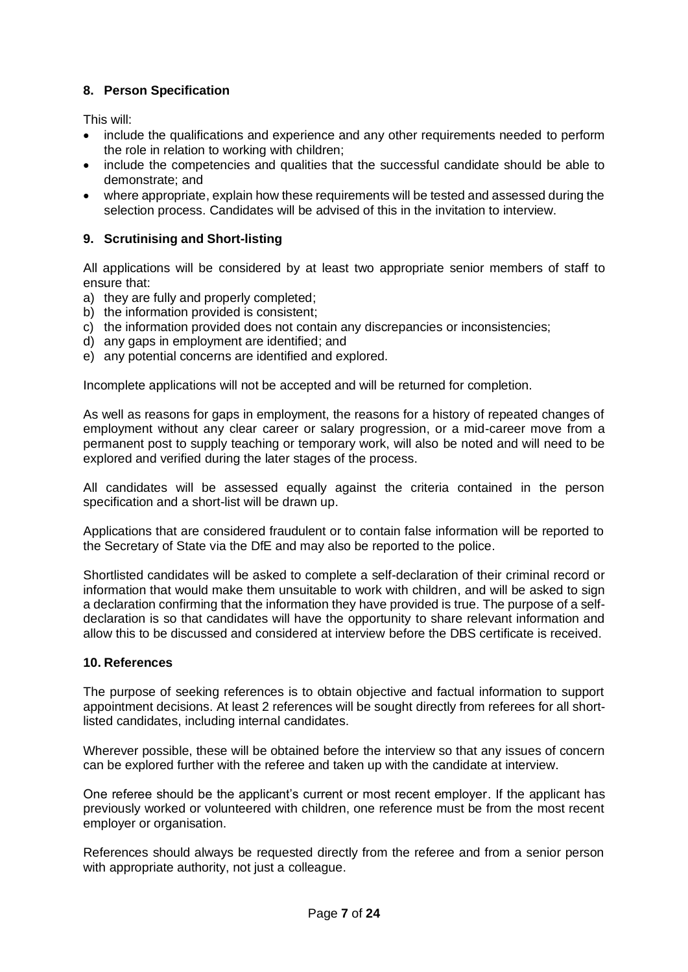# <span id="page-6-0"></span>**8. Person Specification**

This will:

- include the qualifications and experience and any other requirements needed to perform the role in relation to working with children;
- include the competencies and qualities that the successful candidate should be able to demonstrate; and
- where appropriate, explain how these requirements will be tested and assessed during the selection process. Candidates will be advised of this in the invitation to interview.

# <span id="page-6-1"></span>**9. Scrutinising and Short-listing**

All applications will be considered by at least two appropriate senior members of staff to ensure that:

- a) they are fully and properly completed;
- b) the information provided is consistent;
- c) the information provided does not contain any discrepancies or inconsistencies;
- d) any gaps in employment are identified; and
- e) any potential concerns are identified and explored.

Incomplete applications will not be accepted and will be returned for completion.

As well as reasons for gaps in employment, the reasons for a history of repeated changes of employment without any clear career or salary progression, or a mid-career move from a permanent post to supply teaching or temporary work, will also be noted and will need to be explored and verified during the later stages of the process.

All candidates will be assessed equally against the criteria contained in the person specification and a short-list will be drawn up.

Applications that are considered fraudulent or to contain false information will be reported to the Secretary of State via the DfE and may also be reported to the police.

Shortlisted candidates will be asked to complete a self-declaration of their criminal record or information that would make them unsuitable to work with children, and will be asked to sign a declaration confirming that the information they have provided is true. The purpose of a selfdeclaration is so that candidates will have the opportunity to share relevant information and allow this to be discussed and considered at interview before the DBS certificate is received.

#### <span id="page-6-2"></span>**10. References**

The purpose of seeking references is to obtain objective and factual information to support appointment decisions. At least 2 references will be sought directly from referees for all shortlisted candidates, including internal candidates.

Wherever possible, these will be obtained before the interview so that any issues of concern can be explored further with the referee and taken up with the candidate at interview.

One referee should be the applicant's current or most recent employer. If the applicant has previously worked or volunteered with children, one reference must be from the most recent employer or organisation.

References should always be requested directly from the referee and from a senior person with appropriate authority, not just a colleague.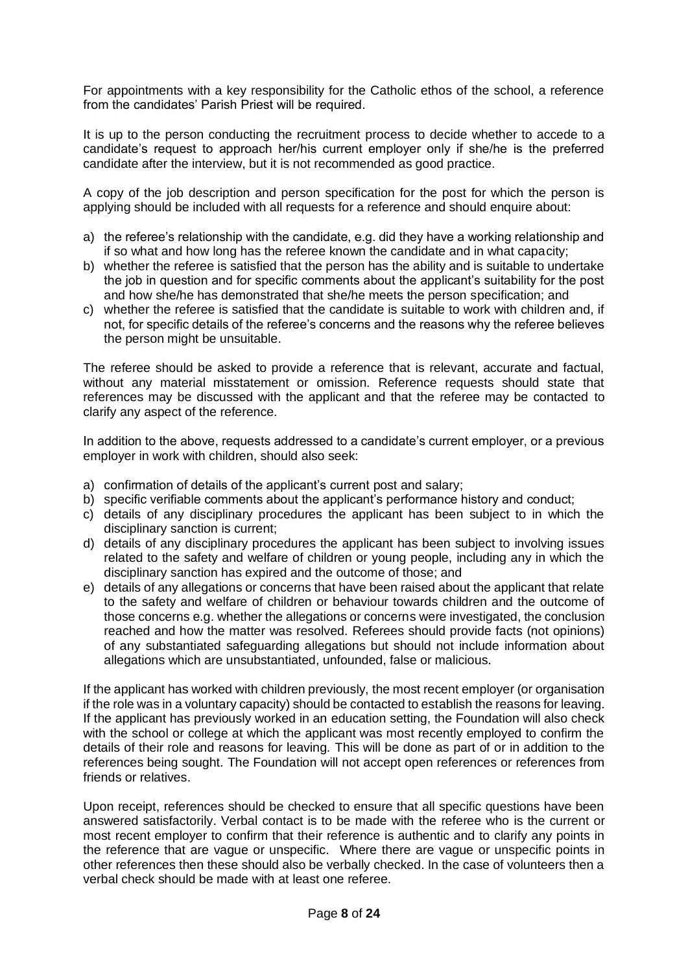For appointments with a key responsibility for the Catholic ethos of the school, a reference from the candidates' Parish Priest will be required.

It is up to the person conducting the recruitment process to decide whether to accede to a candidate's request to approach her/his current employer only if she/he is the preferred candidate after the interview, but it is not recommended as good practice.

A copy of the job description and person specification for the post for which the person is applying should be included with all requests for a reference and should enquire about:

- a) the referee's relationship with the candidate, e.g. did they have a working relationship and if so what and how long has the referee known the candidate and in what capacity;
- b) whether the referee is satisfied that the person has the ability and is suitable to undertake the job in question and for specific comments about the applicant's suitability for the post and how she/he has demonstrated that she/he meets the person specification; and
- c) whether the referee is satisfied that the candidate is suitable to work with children and, if not, for specific details of the referee's concerns and the reasons why the referee believes the person might be unsuitable.

The referee should be asked to provide a reference that is relevant, accurate and factual, without any material misstatement or omission. Reference requests should state that references may be discussed with the applicant and that the referee may be contacted to clarify any aspect of the reference.

In addition to the above, requests addressed to a candidate's current employer, or a previous employer in work with children, should also seek:

- a) confirmation of details of the applicant's current post and salary;
- b) specific verifiable comments about the applicant's performance history and conduct;
- c) details of any disciplinary procedures the applicant has been subject to in which the disciplinary sanction is current;
- d) details of any disciplinary procedures the applicant has been subject to involving issues related to the safety and welfare of children or young people, including any in which the disciplinary sanction has expired and the outcome of those; and
- e) details of any allegations or concerns that have been raised about the applicant that relate to the safety and welfare of children or behaviour towards children and the outcome of those concerns e.g. whether the allegations or concerns were investigated, the conclusion reached and how the matter was resolved. Referees should provide facts (not opinions) of any substantiated safeguarding allegations but should not include information about allegations which are unsubstantiated, unfounded, false or malicious.

If the applicant has worked with children previously, the most recent employer (or organisation if the role was in a voluntary capacity) should be contacted to establish the reasons for leaving. If the applicant has previously worked in an education setting, the Foundation will also check with the school or college at which the applicant was most recently employed to confirm the details of their role and reasons for leaving. This will be done as part of or in addition to the references being sought. The Foundation will not accept open references or references from friends or relatives.

Upon receipt, references should be checked to ensure that all specific questions have been answered satisfactorily. Verbal contact is to be made with the referee who is the current or most recent employer to confirm that their reference is authentic and to clarify any points in the reference that are vague or unspecific. Where there are vague or unspecific points in other references then these should also be verbally checked. In the case of volunteers then a verbal check should be made with at least one referee.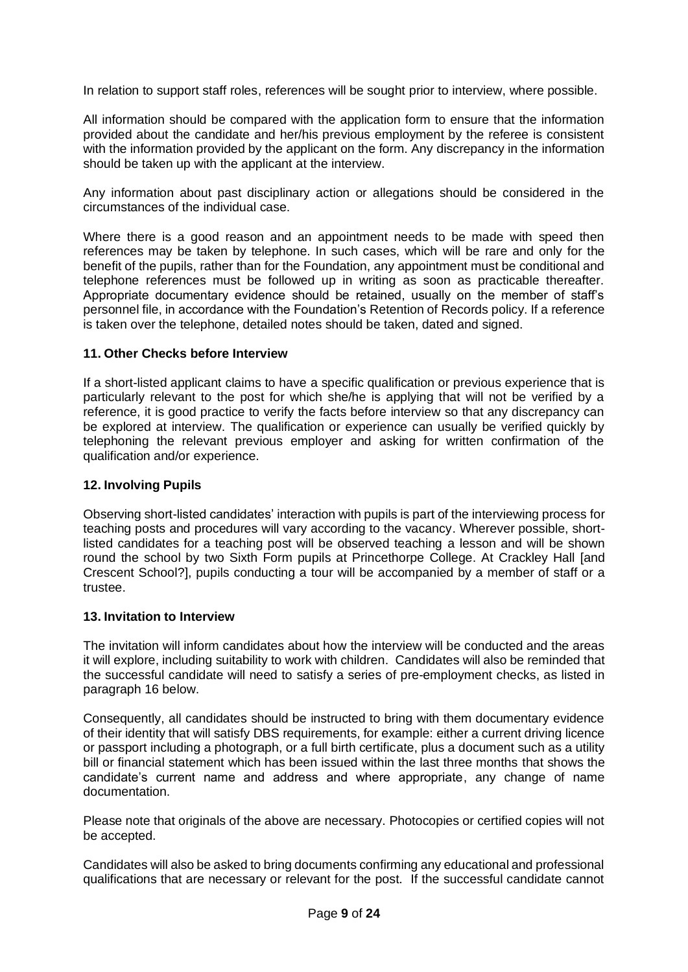In relation to support staff roles, references will be sought prior to interview, where possible.

All information should be compared with the application form to ensure that the information provided about the candidate and her/his previous employment by the referee is consistent with the information provided by the applicant on the form. Any discrepancy in the information should be taken up with the applicant at the interview.

Any information about past disciplinary action or allegations should be considered in the circumstances of the individual case.

Where there is a good reason and an appointment needs to be made with speed then references may be taken by telephone. In such cases, which will be rare and only for the benefit of the pupils, rather than for the Foundation, any appointment must be conditional and telephone references must be followed up in writing as soon as practicable thereafter. Appropriate documentary evidence should be retained, usually on the member of staff's personnel file, in accordance with the Foundation's Retention of Records policy. If a reference is taken over the telephone, detailed notes should be taken, dated and signed.

#### <span id="page-8-0"></span>**11. Other Checks before Interview**

If a short-listed applicant claims to have a specific qualification or previous experience that is particularly relevant to the post for which she/he is applying that will not be verified by a reference, it is good practice to verify the facts before interview so that any discrepancy can be explored at interview. The qualification or experience can usually be verified quickly by telephoning the relevant previous employer and asking for written confirmation of the qualification and/or experience.

#### <span id="page-8-1"></span>**12. Involving Pupils**

Observing short-listed candidates' interaction with pupils is part of the interviewing process for teaching posts and procedures will vary according to the vacancy. Wherever possible, shortlisted candidates for a teaching post will be observed teaching a lesson and will be shown round the school by two Sixth Form pupils at Princethorpe College. At Crackley Hall [and Crescent School?], pupils conducting a tour will be accompanied by a member of staff or a trustee.

#### <span id="page-8-2"></span>**13. Invitation to Interview**

The invitation will inform candidates about how the interview will be conducted and the areas it will explore, including suitability to work with children. Candidates will also be reminded that the successful candidate will need to satisfy a series of pre-employment checks, as listed in paragraph 16 below.

Consequently, all candidates should be instructed to bring with them documentary evidence of their identity that will satisfy DBS requirements, for example: either a current driving licence or passport including a photograph, or a full birth certificate, plus a document such as a utility bill or financial statement which has been issued within the last three months that shows the candidate's current name and address and where appropriate, any change of name documentation.

Please note that originals of the above are necessary. Photocopies or certified copies will not be accepted.

Candidates will also be asked to bring documents confirming any educational and professional qualifications that are necessary or relevant for the post. If the successful candidate cannot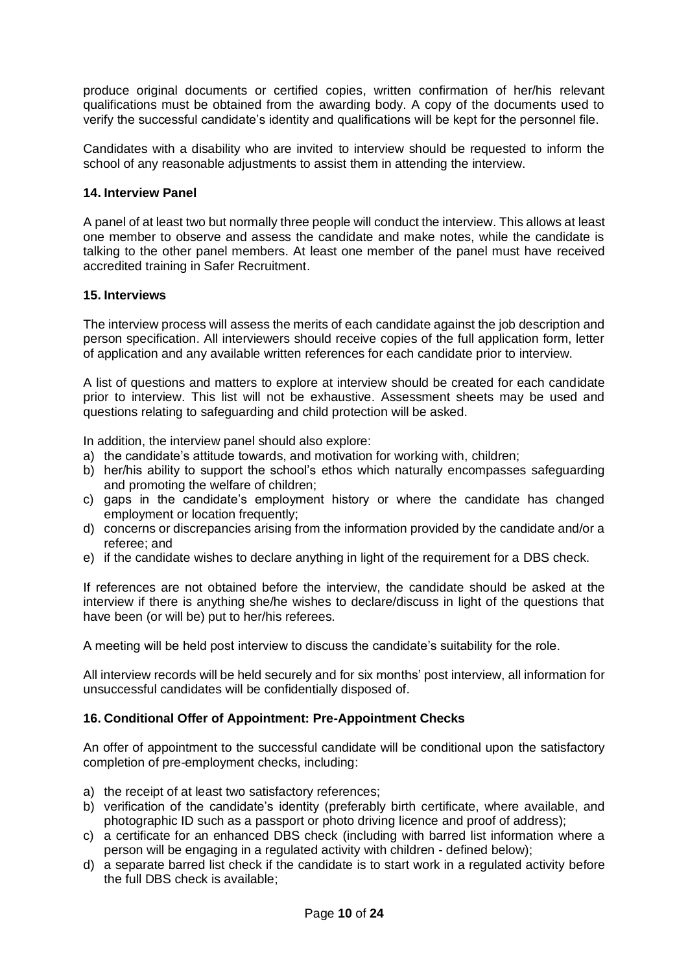produce original documents or certified copies, written confirmation of her/his relevant qualifications must be obtained from the awarding body. A copy of the documents used to verify the successful candidate's identity and qualifications will be kept for the personnel file.

Candidates with a disability who are invited to interview should be requested to inform the school of any reasonable adjustments to assist them in attending the interview.

# <span id="page-9-0"></span>**14. Interview Panel**

A panel of at least two but normally three people will conduct the interview. This allows at least one member to observe and assess the candidate and make notes, while the candidate is talking to the other panel members. At least one member of the panel must have received accredited training in Safer Recruitment.

#### <span id="page-9-1"></span>**15. Interviews**

The interview process will assess the merits of each candidate against the job description and person specification. All interviewers should receive copies of the full application form, letter of application and any available written references for each candidate prior to interview.

A list of questions and matters to explore at interview should be created for each candidate prior to interview. This list will not be exhaustive. Assessment sheets may be used and questions relating to safeguarding and child protection will be asked.

In addition, the interview panel should also explore:

- a) the candidate's attitude towards, and motivation for working with, children;
- b) her/his ability to support the school's ethos which naturally encompasses safeguarding and promoting the welfare of children;
- c) gaps in the candidate's employment history or where the candidate has changed employment or location frequently;
- d) concerns or discrepancies arising from the information provided by the candidate and/or a referee; and
- e) if the candidate wishes to declare anything in light of the requirement for a DBS check.

If references are not obtained before the interview, the candidate should be asked at the interview if there is anything she/he wishes to declare/discuss in light of the questions that have been (or will be) put to her/his referees.

A meeting will be held post interview to discuss the candidate's suitability for the role.

All interview records will be held securely and for six months' post interview, all information for unsuccessful candidates will be confidentially disposed of.

#### <span id="page-9-2"></span>**16. Conditional Offer of Appointment: Pre-Appointment Checks**

An offer of appointment to the successful candidate will be conditional upon the satisfactory completion of pre-employment checks, including:

- a) the receipt of at least two satisfactory references;
- b) verification of the candidate's identity (preferably birth certificate, where available, and photographic ID such as a passport or photo driving licence and proof of address);
- c) a certificate for an enhanced DBS check (including with barred list information where a person will be engaging in a regulated activity with children - defined below);
- d) a separate barred list check if the candidate is to start work in a regulated activity before the full DBS check is available;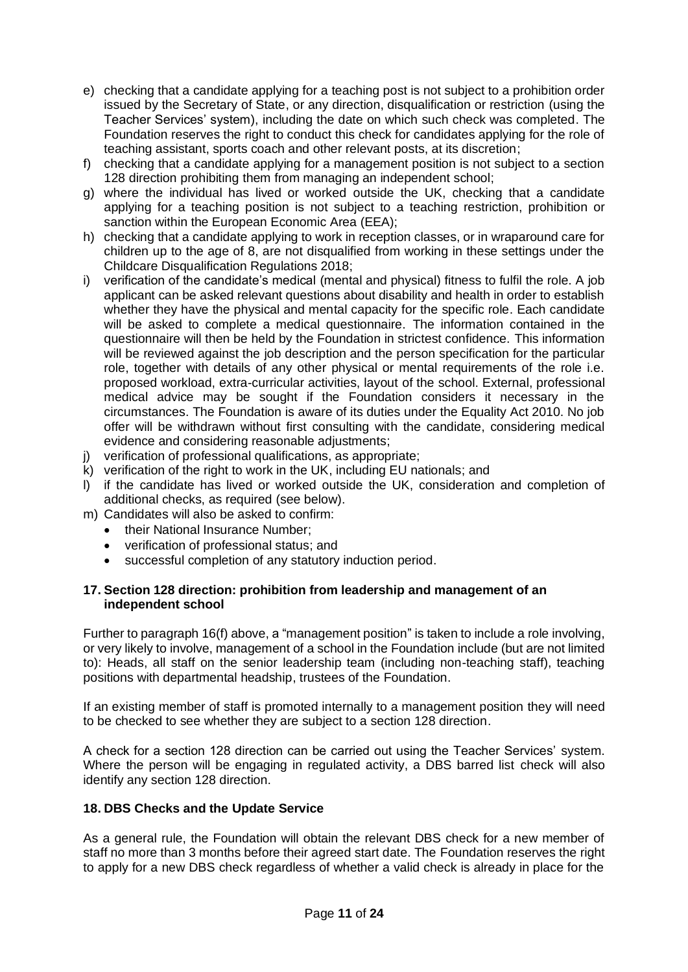- e) checking that a candidate applying for a teaching post is not subject to a prohibition order issued by the Secretary of State, or any direction, disqualification or restriction (using the Teacher Services' system), including the date on which such check was completed. The Foundation reserves the right to conduct this check for candidates applying for the role of teaching assistant, sports coach and other relevant posts, at its discretion;
- f) checking that a candidate applying for a management position is not subject to a section 128 direction prohibiting them from managing an independent school;
- g) where the individual has lived or worked outside the UK, checking that a candidate applying for a teaching position is not subject to a teaching restriction, prohibition or sanction within the European Economic Area (EEA);
- h) checking that a candidate applying to work in reception classes, or in wraparound care for children up to the age of 8, are not disqualified from working in these settings under the Childcare Disqualification Regulations 2018;
- i) verification of the candidate's medical (mental and physical) fitness to fulfil the role. A job applicant can be asked relevant questions about disability and health in order to establish whether they have the physical and mental capacity for the specific role. Each candidate will be asked to complete a medical questionnaire. The information contained in the questionnaire will then be held by the Foundation in strictest confidence. This information will be reviewed against the job description and the person specification for the particular role, together with details of any other physical or mental requirements of the role i.e. proposed workload, extra-curricular activities, layout of the school. External, professional medical advice may be sought if the Foundation considers it necessary in the circumstances. The Foundation is aware of its duties under the Equality Act 2010. No job offer will be withdrawn without first consulting with the candidate, considering medical evidence and considering reasonable adjustments;
- j) verification of professional qualifications, as appropriate;
- k) verification of the right to work in the UK, including EU nationals; and
- l) if the candidate has lived or worked outside the UK, consideration and completion of additional checks, as required (see below).
- m) Candidates will also be asked to confirm:
	- their National Insurance Number;
	- verification of professional status; and
	- successful completion of any statutory induction period.

#### <span id="page-10-0"></span>**17. Section 128 direction: prohibition from leadership and management of an independent school**

Further to paragraph 16(f) above, a "management position" is taken to include a role involving, or very likely to involve, management of a school in the Foundation include (but are not limited to): Heads, all staff on the senior leadership team (including non-teaching staff), teaching positions with departmental headship, trustees of the Foundation.

If an existing member of staff is promoted internally to a management position they will need to be checked to see whether they are subject to a section 128 direction.

A check for a section 128 direction can be carried out using the Teacher Services' system. Where the person will be engaging in regulated activity, a DBS barred list check will also identify any section 128 direction.

#### <span id="page-10-1"></span>**18. DBS Checks and the Update Service**

As a general rule, the Foundation will obtain the relevant DBS check for a new member of staff no more than 3 months before their agreed start date. The Foundation reserves the right to apply for a new DBS check regardless of whether a valid check is already in place for the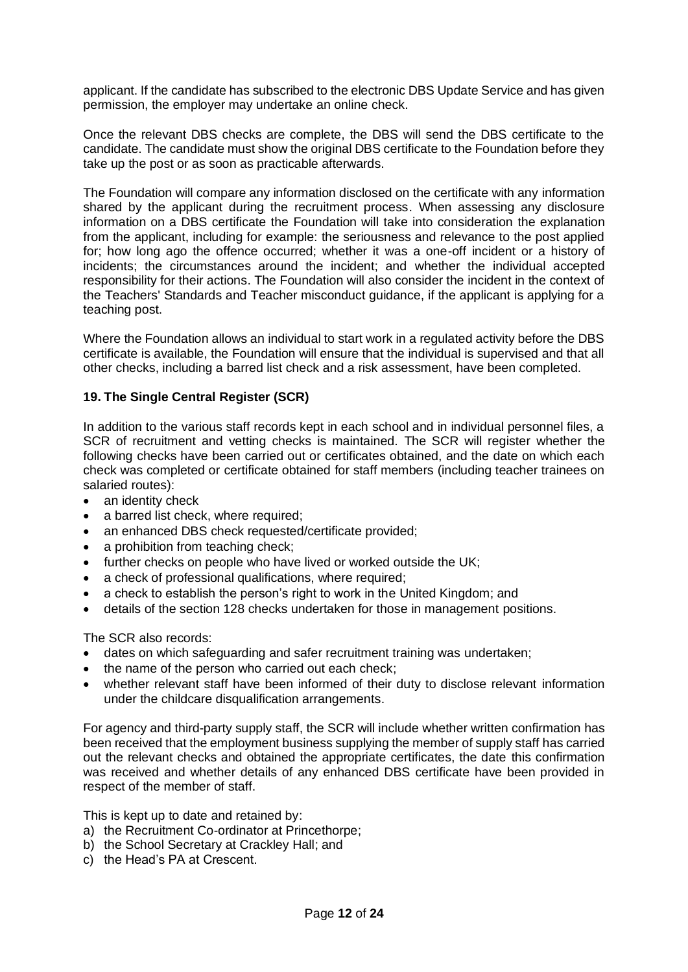applicant. If the candidate has subscribed to the electronic DBS Update Service and has given permission, the employer may undertake an online check.

Once the relevant DBS checks are complete, the DBS will send the DBS certificate to the candidate. The candidate must show the original DBS certificate to the Foundation before they take up the post or as soon as practicable afterwards.

The Foundation will compare any information disclosed on the certificate with any information shared by the applicant during the recruitment process. When assessing any disclosure information on a DBS certificate the Foundation will take into consideration the explanation from the applicant, including for example: the seriousness and relevance to the post applied for; how long ago the offence occurred; whether it was a one-off incident or a history of incidents; the circumstances around the incident; and whether the individual accepted responsibility for their actions. The Foundation will also consider the incident in the context of the Teachers' Standards and Teacher misconduct guidance, if the applicant is applying for a teaching post.

Where the Foundation allows an individual to start work in a regulated activity before the DBS certificate is available, the Foundation will ensure that the individual is supervised and that all other checks, including a barred list check and a risk assessment, have been completed.

# <span id="page-11-0"></span>**19. The Single Central Register (SCR)**

In addition to the various staff records kept in each school and in individual personnel files, a SCR of recruitment and vetting checks is maintained. The SCR will register whether the following checks have been carried out or certificates obtained, and the date on which each check was completed or certificate obtained for staff members (including teacher trainees on salaried routes):

- an identity check
- a barred list check, where required;
- an enhanced DBS check requested/certificate provided;
- a prohibition from teaching check;
- further checks on people who have lived or worked outside the UK;
- a check of professional qualifications, where required;
- a check to establish the person's right to work in the United Kingdom; and
- details of the section 128 checks undertaken for those in management positions.

The SCR also records:

- dates on which safeguarding and safer recruitment training was undertaken;
- the name of the person who carried out each check;
- whether relevant staff have been informed of their duty to disclose relevant information under the childcare disqualification arrangements.

For agency and third-party supply staff, the SCR will include whether written confirmation has been received that the employment business supplying the member of supply staff has carried out the relevant checks and obtained the appropriate certificates, the date this confirmation was received and whether details of any enhanced DBS certificate have been provided in respect of the member of staff.

This is kept up to date and retained by:

- a) the Recruitment Co-ordinator at Princethorpe;
- b) the School Secretary at Crackley Hall; and
- c) the Head's PA at Crescent.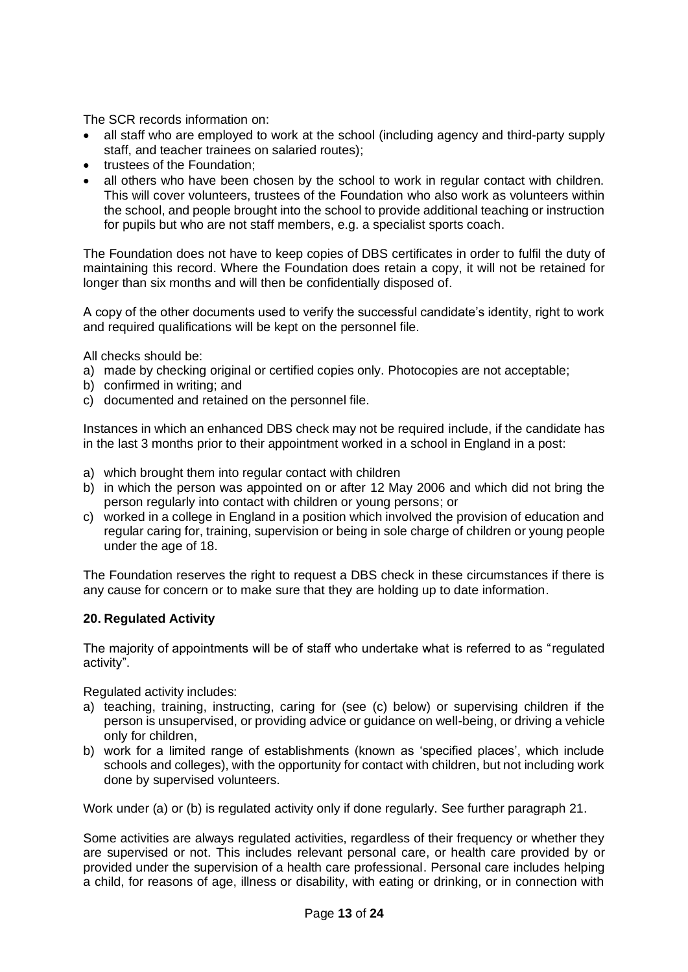The SCR records information on:

- all staff who are employed to work at the school (including agency and third-party supply staff, and teacher trainees on salaried routes);
- trustees of the Foundation:
- all others who have been chosen by the school to work in regular contact with children. This will cover volunteers, trustees of the Foundation who also work as volunteers within the school, and people brought into the school to provide additional teaching or instruction for pupils but who are not staff members, e.g. a specialist sports coach.

The Foundation does not have to keep copies of DBS certificates in order to fulfil the duty of maintaining this record. Where the Foundation does retain a copy, it will not be retained for longer than six months and will then be confidentially disposed of.

A copy of the other documents used to verify the successful candidate's identity, right to work and required qualifications will be kept on the personnel file.

All checks should be:

- a) made by checking original or certified copies only. Photocopies are not acceptable;
- b) confirmed in writing; and
- c) documented and retained on the personnel file.

Instances in which an enhanced DBS check may not be required include, if the candidate has in the last 3 months prior to their appointment worked in a school in England in a post:

- a) which brought them into regular contact with children
- b) in which the person was appointed on or after 12 May 2006 and which did not bring the person regularly into contact with children or young persons; or
- c) worked in a college in England in a position which involved the provision of education and regular caring for, training, supervision or being in sole charge of children or young people under the age of 18.

The Foundation reserves the right to request a DBS check in these circumstances if there is any cause for concern or to make sure that they are holding up to date information.

#### <span id="page-12-0"></span>**20. Regulated Activity**

The majority of appointments will be of staff who undertake what is referred to as "regulated activity".

Regulated activity includes:

- a) teaching, training, instructing, caring for (see (c) below) or supervising children if the person is unsupervised, or providing advice or guidance on well-being, or driving a vehicle only for children,
- b) work for a limited range of establishments (known as 'specified places', which include schools and colleges), with the opportunity for contact with children, but not including work done by supervised volunteers.

Work under (a) or (b) is regulated activity only if done regularly. See further paragraph 21.

Some activities are always regulated activities, regardless of their frequency or whether they are supervised or not. This includes relevant personal care, or health care provided by or provided under the supervision of a health care professional. Personal care includes helping a child, for reasons of age, illness or disability, with eating or drinking, or in connection with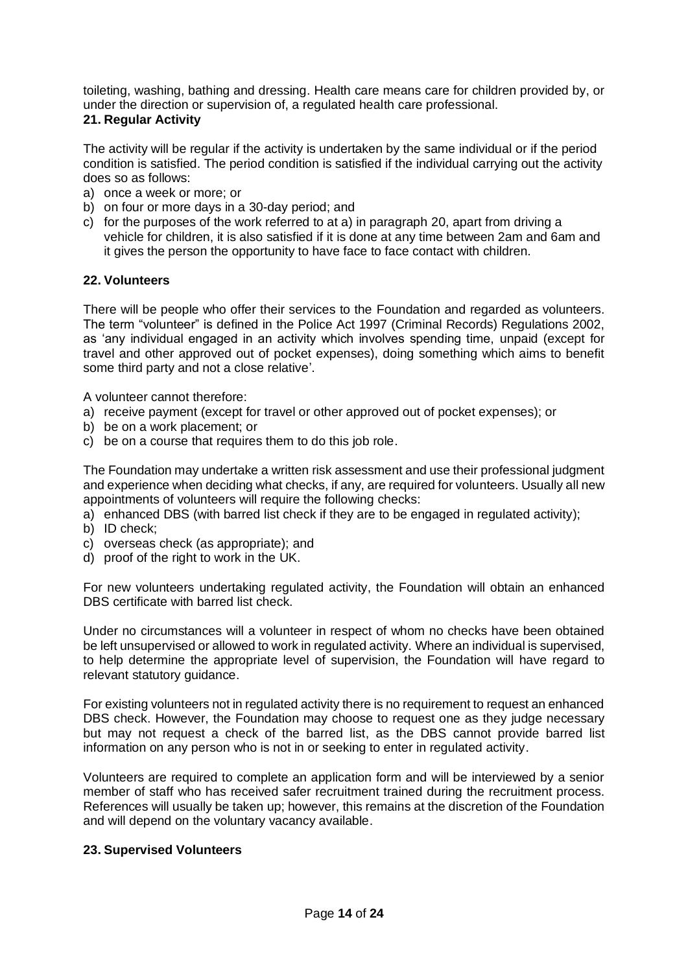toileting, washing, bathing and dressing. Health care means care for children provided by, or under the direction or supervision of, a regulated health care professional.

#### <span id="page-13-0"></span>**21. Regular Activity**

The activity will be regular if the activity is undertaken by the same individual or if the period condition is satisfied. The period condition is satisfied if the individual carrying out the activity does so as follows:

- a) once a week or more; or
- b) on four or more days in a 30-day period; and
- c) for the purposes of the work referred to at a) in paragraph 20, apart from driving a vehicle for children, it is also satisfied if it is done at any time between 2am and 6am and it gives the person the opportunity to have face to face contact with children.

#### <span id="page-13-1"></span>**22. Volunteers**

There will be people who offer their services to the Foundation and regarded as volunteers. The term "volunteer" is defined in the Police Act 1997 (Criminal Records) Regulations 2002, as 'any individual engaged in an activity which involves spending time, unpaid (except for travel and other approved out of pocket expenses), doing something which aims to benefit some third party and not a close relative'.

A volunteer cannot therefore:

- a) receive payment (except for travel or other approved out of pocket expenses); or
- b) be on a work placement; or
- c) be on a course that requires them to do this job role.

The Foundation may undertake a written risk assessment and use their professional judgment and experience when deciding what checks, if any, are required for volunteers. Usually all new appointments of volunteers will require the following checks:

- a) enhanced DBS (with barred list check if they are to be engaged in regulated activity);
- b) ID check;
- c) overseas check (as appropriate); and
- d) proof of the right to work in the UK.

For new volunteers undertaking regulated activity, the Foundation will obtain an enhanced DBS certificate with barred list check.

Under no circumstances will a volunteer in respect of whom no checks have been obtained be left unsupervised or allowed to work in regulated activity. Where an individual is supervised, to help determine the appropriate level of supervision, the Foundation will have regard to relevant statutory guidance.

For existing volunteers not in regulated activity there is no requirement to request an enhanced DBS check. However, the Foundation may choose to request one as they judge necessary but may not request a check of the barred list, as the DBS cannot provide barred list information on any person who is not in or seeking to enter in regulated activity.

Volunteers are required to complete an application form and will be interviewed by a senior member of staff who has received safer recruitment trained during the recruitment process. References will usually be taken up; however, this remains at the discretion of the Foundation and will depend on the voluntary vacancy available.

#### <span id="page-13-2"></span>**23. Supervised Volunteers**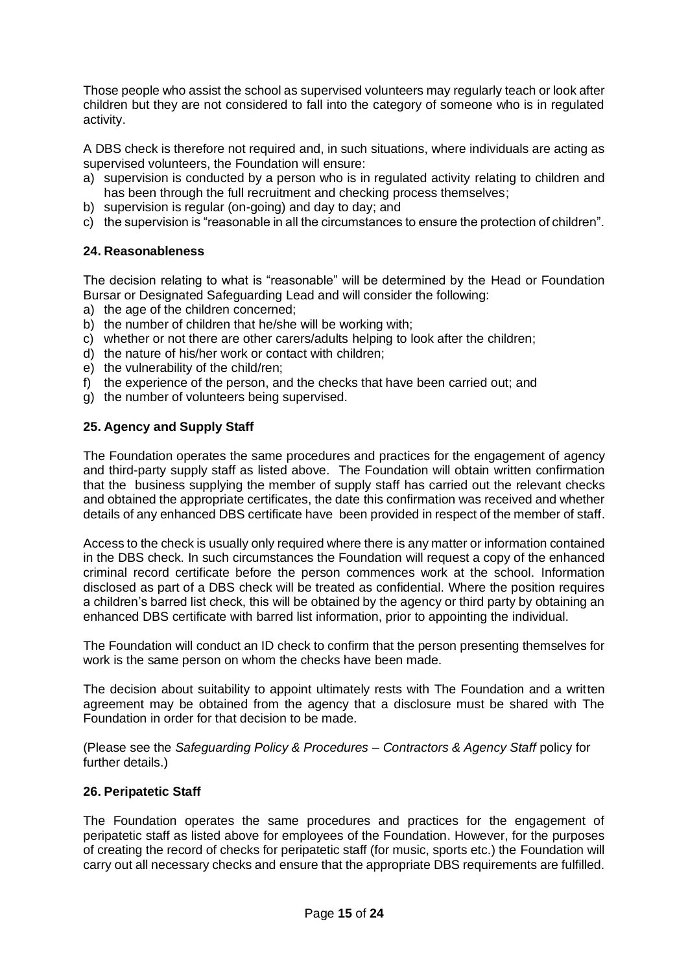Those people who assist the school as supervised volunteers may regularly teach or look after children but they are not considered to fall into the category of someone who is in regulated activity.

A DBS check is therefore not required and, in such situations, where individuals are acting as supervised volunteers, the Foundation will ensure:

- a) supervision is conducted by a person who is in regulated activity relating to children and has been through the full recruitment and checking process themselves;
- b) supervision is regular (on-going) and day to day; and
- c) the supervision is "reasonable in all the circumstances to ensure the protection of children".

# <span id="page-14-0"></span>**24. Reasonableness**

The decision relating to what is "reasonable" will be determined by the Head or Foundation Bursar or Designated Safeguarding Lead and will consider the following:

- a) the age of the children concerned;
- b) the number of children that he/she will be working with;
- c) whether or not there are other carers/adults helping to look after the children;
- d) the nature of his/her work or contact with children;
- e) the vulnerability of the child/ren;
- f) the experience of the person, and the checks that have been carried out; and
- g) the number of volunteers being supervised.

# <span id="page-14-1"></span>**25. Agency and Supply Staff**

The Foundation operates the same procedures and practices for the engagement of agency and third-party supply staff as listed above. The Foundation will obtain written confirmation that the business supplying the member of supply staff has carried out the relevant checks and obtained the appropriate certificates, the date this confirmation was received and whether details of any enhanced DBS certificate have been provided in respect of the member of staff.

Access to the check is usually only required where there is any matter or information contained in the DBS check. In such circumstances the Foundation will request a copy of the enhanced criminal record certificate before the person commences work at the school. Information disclosed as part of a DBS check will be treated as confidential. Where the position requires a children's barred list check, this will be obtained by the agency or third party by obtaining an enhanced DBS certificate with barred list information, prior to appointing the individual.

The Foundation will conduct an ID check to confirm that the person presenting themselves for work is the same person on whom the checks have been made.

The decision about suitability to appoint ultimately rests with The Foundation and a written agreement may be obtained from the agency that a disclosure must be shared with The Foundation in order for that decision to be made.

(Please see the *Safeguarding Policy & Procedures – Contractors & Agency Staff* policy for further details.)

#### <span id="page-14-2"></span>**26. Peripatetic Staff**

The Foundation operates the same procedures and practices for the engagement of peripatetic staff as listed above for employees of the Foundation. However, for the purposes of creating the record of checks for peripatetic staff (for music, sports etc.) the Foundation will carry out all necessary checks and ensure that the appropriate DBS requirements are fulfilled.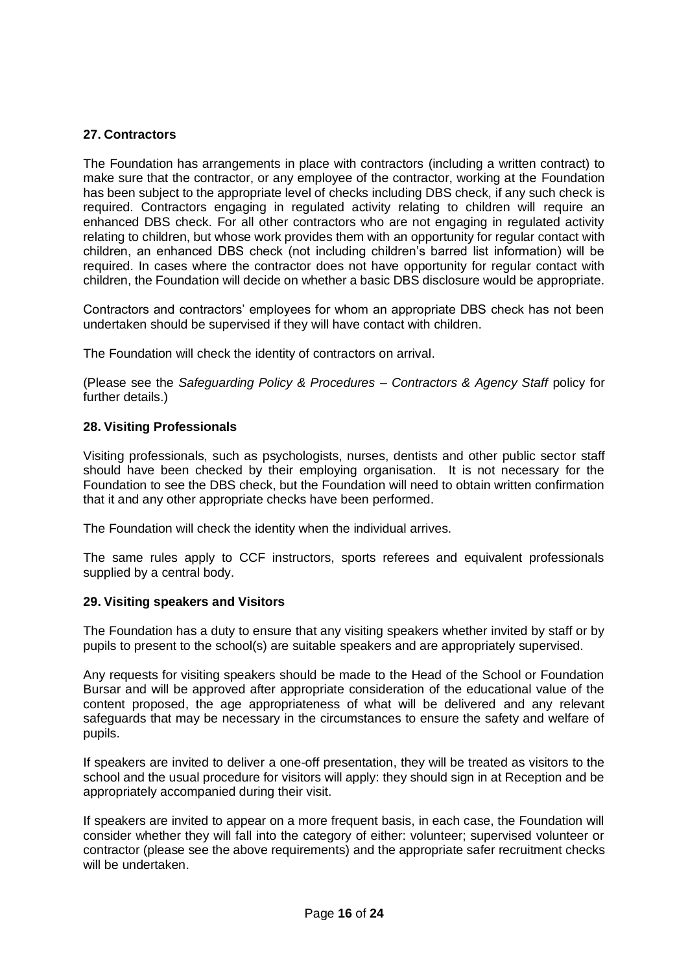# <span id="page-15-0"></span>**27. Contractors**

The Foundation has arrangements in place with contractors (including a written contract) to make sure that the contractor, or any employee of the contractor, working at the Foundation has been subject to the appropriate level of checks including DBS check, if any such check is required. Contractors engaging in regulated activity relating to children will require an enhanced DBS check. For all other contractors who are not engaging in regulated activity relating to children, but whose work provides them with an opportunity for regular contact with children, an enhanced DBS check (not including children's barred list information) will be required. In cases where the contractor does not have opportunity for regular contact with children, the Foundation will decide on whether a basic DBS disclosure would be appropriate.

Contractors and contractors' employees for whom an appropriate DBS check has not been undertaken should be supervised if they will have contact with children.

The Foundation will check the identity of contractors on arrival.

(Please see the *Safeguarding Policy & Procedures – Contractors & Agency Staff* policy for further details.)

#### **28. Visiting Professionals**

Visiting professionals, such as psychologists, nurses, dentists and other public sector staff should have been checked by their employing organisation. It is not necessary for the Foundation to see the DBS check, but the Foundation will need to obtain written confirmation that it and any other appropriate checks have been performed.

The Foundation will check the identity when the individual arrives.

The same rules apply to CCF instructors, sports referees and equivalent professionals supplied by a central body.

#### <span id="page-15-1"></span>**29. Visiting speakers and Visitors**

The Foundation has a duty to ensure that any visiting speakers whether invited by staff or by pupils to present to the school(s) are suitable speakers and are appropriately supervised.

Any requests for visiting speakers should be made to the Head of the School or Foundation Bursar and will be approved after appropriate consideration of the educational value of the content proposed, the age appropriateness of what will be delivered and any relevant safeguards that may be necessary in the circumstances to ensure the safety and welfare of pupils.

If speakers are invited to deliver a one-off presentation, they will be treated as visitors to the school and the usual procedure for visitors will apply: they should sign in at Reception and be appropriately accompanied during their visit.

If speakers are invited to appear on a more frequent basis, in each case, the Foundation will consider whether they will fall into the category of either: volunteer; supervised volunteer or contractor (please see the above requirements) and the appropriate safer recruitment checks will be undertaken.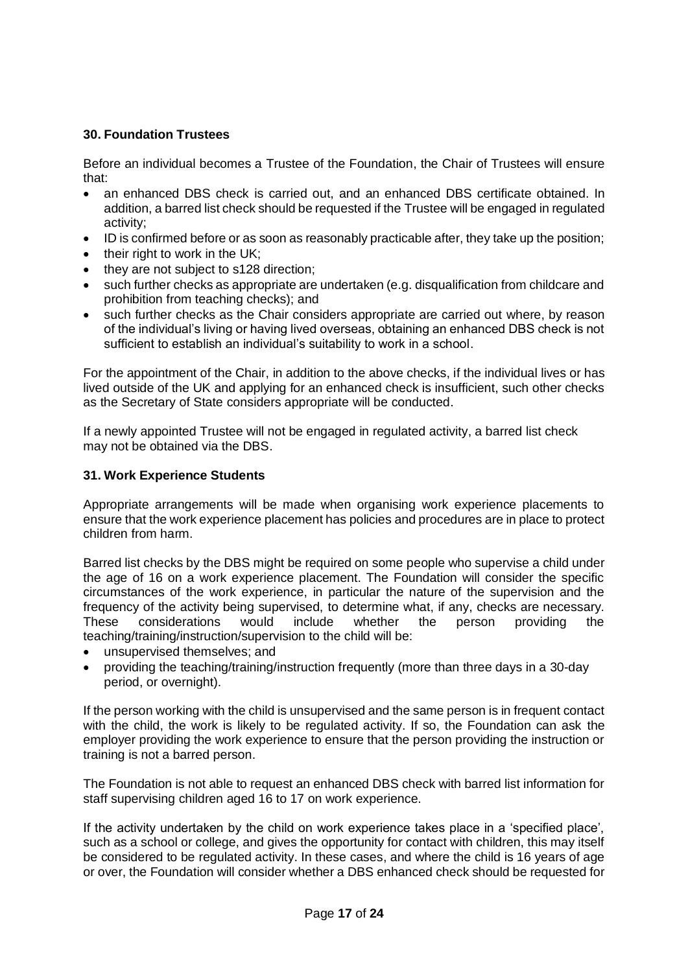# <span id="page-16-0"></span>**30. Foundation Trustees**

Before an individual becomes a Trustee of the Foundation, the Chair of Trustees will ensure that:

- an enhanced DBS check is carried out, and an enhanced DBS certificate obtained. In addition, a barred list check should be requested if the Trustee will be engaged in regulated activity;
- ID is confirmed before or as soon as reasonably practicable after, they take up the position;
- their right to work in the UK:
- they are not subject to s128 direction:
- such further checks as appropriate are undertaken (e.g. disqualification from childcare and prohibition from teaching checks); and
- such further checks as the Chair considers appropriate are carried out where, by reason of the individual's living or having lived overseas, obtaining an enhanced DBS check is not sufficient to establish an individual's suitability to work in a school.

For the appointment of the Chair, in addition to the above checks, if the individual lives or has lived outside of the UK and applying for an enhanced check is insufficient, such other checks as the Secretary of State considers appropriate will be conducted.

If a newly appointed Trustee will not be engaged in regulated activity, a barred list check may not be obtained via the DBS.

#### <span id="page-16-1"></span>**31. Work Experience Students**

Appropriate arrangements will be made when organising work experience placements to ensure that the work experience placement has policies and procedures are in place to protect children from harm.

Barred list checks by the DBS might be required on some people who supervise a child under the age of 16 on a work experience placement. The Foundation will consider the specific circumstances of the work experience, in particular the nature of the supervision and the frequency of the activity being supervised, to determine what, if any, checks are necessary. These considerations would include whether the person providing the teaching/training/instruction/supervision to the child will be:

- unsupervised themselves; and
- providing the teaching/training/instruction frequently (more than three days in a 30-day period, or overnight).

If the person working with the child is unsupervised and the same person is in frequent contact with the child, the work is likely to be regulated activity. If so, the Foundation can ask the employer providing the work experience to ensure that the person providing the instruction or training is not a barred person.

The Foundation is not able to request an enhanced DBS check with barred list information for staff supervising children aged 16 to 17 on work experience.

If the activity undertaken by the child on work experience takes place in a 'specified place', such as a school or college, and gives the opportunity for contact with children, this may itself be considered to be regulated activity. In these cases, and where the child is 16 years of age or over, the Foundation will consider whether a DBS enhanced check should be requested for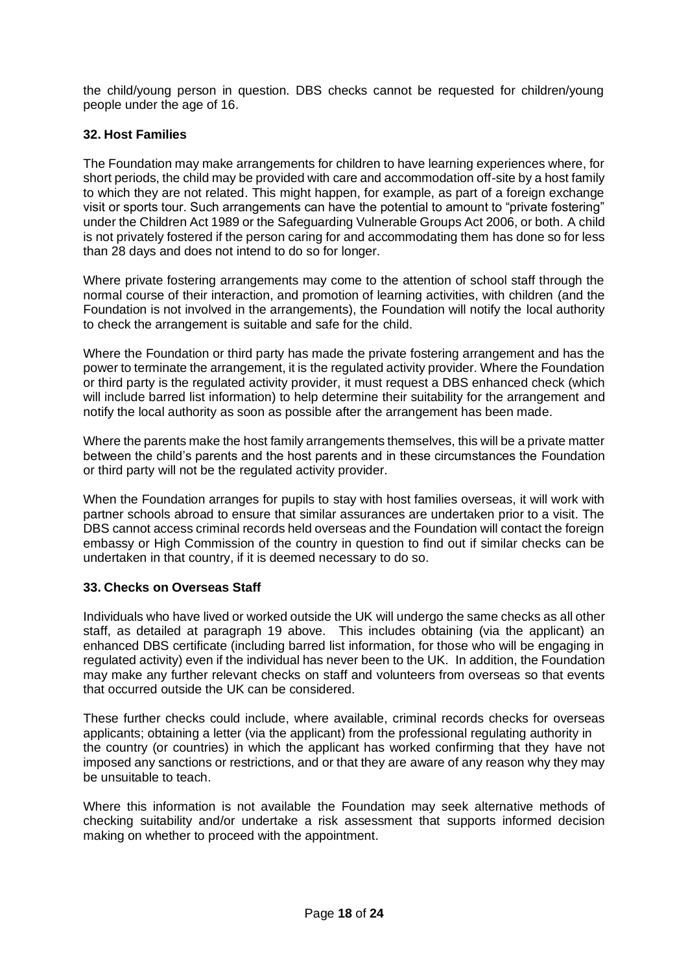the child/young person in question. DBS checks cannot be requested for children/young people under the age of 16.

# <span id="page-17-0"></span>**32. Host Families**

The Foundation may make arrangements for children to have learning experiences where, for short periods, the child may be provided with care and accommodation off-site by a host family to which they are not related. This might happen, for example, as part of a foreign exchange visit or sports tour. Such arrangements can have the potential to amount to "private fostering" under the Children Act 1989 or the Safeguarding Vulnerable Groups Act 2006, or both. A child is not privately fostered if the person caring for and accommodating them has done so for less than 28 days and does not intend to do so for longer.

Where private fostering arrangements may come to the attention of school staff through the normal course of their interaction, and promotion of learning activities, with children (and the Foundation is not involved in the arrangements), the Foundation will notify the local authority to check the arrangement is suitable and safe for the child.

Where the Foundation or third party has made the private fostering arrangement and has the power to terminate the arrangement, it is the regulated activity provider. Where the Foundation or third party is the regulated activity provider, it must request a DBS enhanced check (which will include barred list information) to help determine their suitability for the arrangement and notify the local authority as soon as possible after the arrangement has been made.

Where the parents make the host family arrangements themselves, this will be a private matter between the child's parents and the host parents and in these circumstances the Foundation or third party will not be the regulated activity provider.

When the Foundation arranges for pupils to stay with host families overseas, it will work with partner schools abroad to ensure that similar assurances are undertaken prior to a visit. The DBS cannot access criminal records held overseas and the Foundation will contact the foreign embassy or High Commission of the country in question to find out if similar checks can be undertaken in that country, if it is deemed necessary to do so.

# <span id="page-17-1"></span>**33. Checks on Overseas Staff**

Individuals who have lived or worked outside the UK will undergo the same checks as all other staff, as detailed at paragraph 19 above. This includes obtaining (via the applicant) an enhanced DBS certificate (including barred list information, for those who will be engaging in regulated activity) even if the individual has never been to the UK. In addition, the Foundation may make any further relevant checks on staff and volunteers from overseas so that events that occurred outside the UK can be considered.

These further checks could include, where available, criminal records checks for overseas applicants; obtaining a letter (via the applicant) from the professional regulating authority in the country (or countries) in which the applicant has worked confirming that they have not imposed any sanctions or restrictions, and or that they are aware of any reason why they may be unsuitable to teach.

Where this information is not available the Foundation may seek alternative methods of checking suitability and/or undertake a risk assessment that supports informed decision making on whether to proceed with the appointment.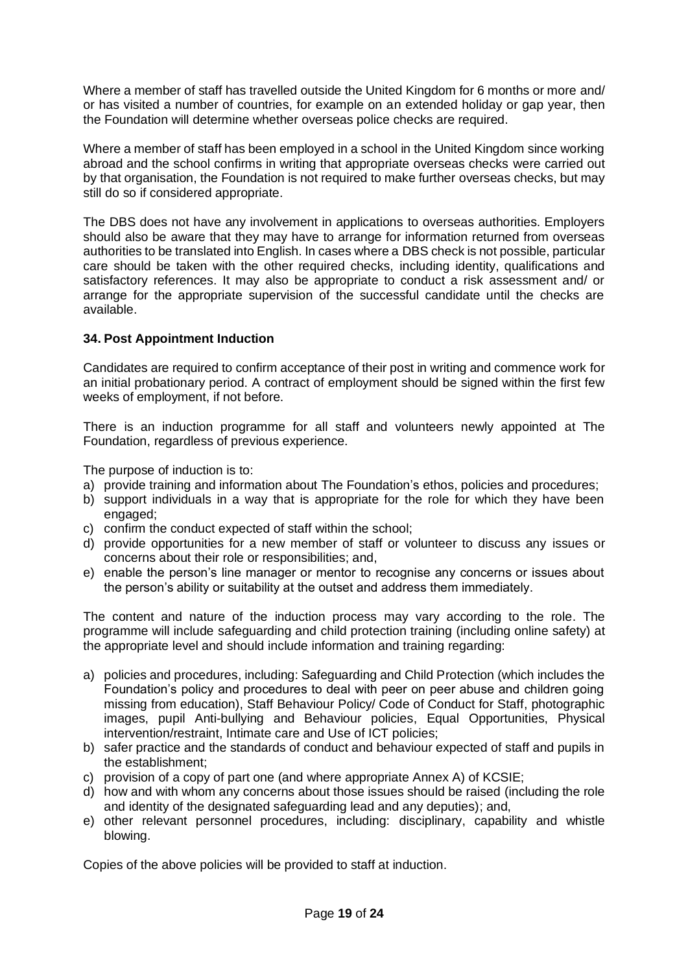Where a member of staff has travelled outside the United Kingdom for 6 months or more and/ or has visited a number of countries, for example on an extended holiday or gap year, then the Foundation will determine whether overseas police checks are required.

Where a member of staff has been employed in a school in the United Kingdom since working abroad and the school confirms in writing that appropriate overseas checks were carried out by that organisation, the Foundation is not required to make further overseas checks, but may still do so if considered appropriate.

The DBS does not have any involvement in applications to overseas authorities. Employers should also be aware that they may have to arrange for information returned from overseas authorities to be translated into English. In cases where a DBS check is not possible, particular care should be taken with the other required checks, including identity, qualifications and satisfactory references. It may also be appropriate to conduct a risk assessment and/ or arrange for the appropriate supervision of the successful candidate until the checks are available.

# <span id="page-18-0"></span>**34. Post Appointment Induction**

Candidates are required to confirm acceptance of their post in writing and commence work for an initial probationary period. A contract of employment should be signed within the first few weeks of employment, if not before.

There is an induction programme for all staff and volunteers newly appointed at The Foundation, regardless of previous experience.

The purpose of induction is to:

- a) provide training and information about The Foundation's ethos, policies and procedures;
- b) support individuals in a way that is appropriate for the role for which they have been engaged;
- c) confirm the conduct expected of staff within the school;
- d) provide opportunities for a new member of staff or volunteer to discuss any issues or concerns about their role or responsibilities; and,
- e) enable the person's line manager or mentor to recognise any concerns or issues about the person's ability or suitability at the outset and address them immediately.

The content and nature of the induction process may vary according to the role. The programme will include safeguarding and child protection training (including online safety) at the appropriate level and should include information and training regarding:

- a) policies and procedures, including: Safeguarding and Child Protection (which includes the Foundation's policy and procedures to deal with peer on peer abuse and children going missing from education), Staff Behaviour Policy/ Code of Conduct for Staff, photographic images, pupil Anti-bullying and Behaviour policies, Equal Opportunities, Physical intervention/restraint, Intimate care and Use of ICT policies;
- b) safer practice and the standards of conduct and behaviour expected of staff and pupils in the establishment;
- c) provision of a copy of part one (and where appropriate Annex A) of KCSIE;
- d) how and with whom any concerns about those issues should be raised (including the role and identity of the designated safeguarding lead and any deputies); and,
- e) other relevant personnel procedures, including: disciplinary, capability and whistle blowing.

Copies of the above policies will be provided to staff at induction.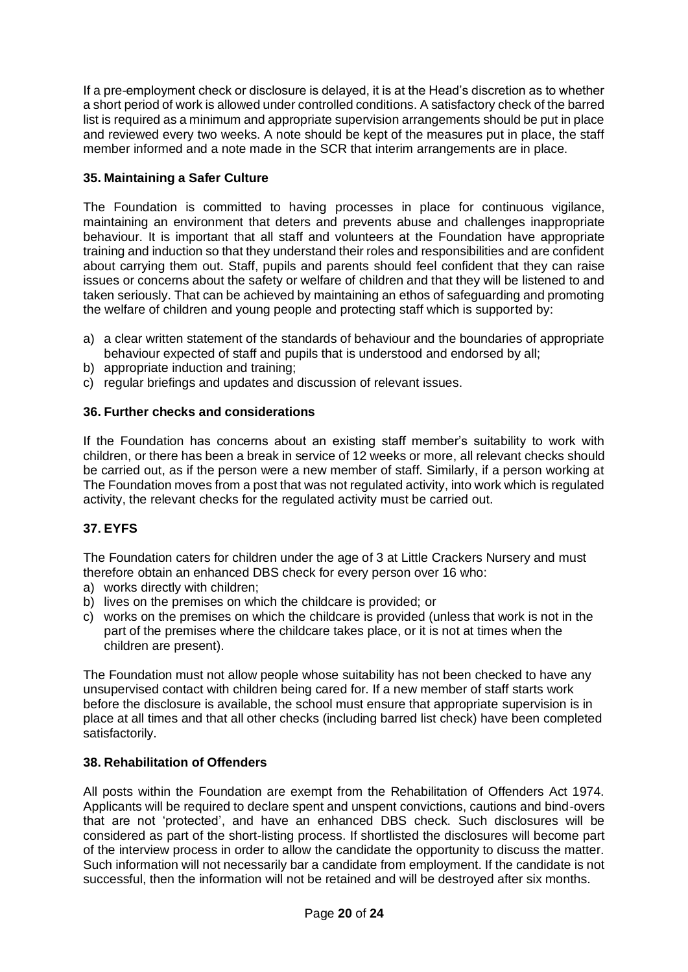If a pre-employment check or disclosure is delayed, it is at the Head's discretion as to whether a short period of work is allowed under controlled conditions. A satisfactory check of the barred list is required as a minimum and appropriate supervision arrangements should be put in place and reviewed every two weeks. A note should be kept of the measures put in place, the staff member informed and a note made in the SCR that interim arrangements are in place.

# <span id="page-19-0"></span>**35. Maintaining a Safer Culture**

The Foundation is committed to having processes in place for continuous vigilance, maintaining an environment that deters and prevents abuse and challenges inappropriate behaviour. It is important that all staff and volunteers at the Foundation have appropriate training and induction so that they understand their roles and responsibilities and are confident about carrying them out. Staff, pupils and parents should feel confident that they can raise issues or concerns about the safety or welfare of children and that they will be listened to and taken seriously. That can be achieved by maintaining an ethos of safeguarding and promoting the welfare of children and young people and protecting staff which is supported by:

- a) a clear written statement of the standards of behaviour and the boundaries of appropriate behaviour expected of staff and pupils that is understood and endorsed by all;
- b) appropriate induction and training;
- c) regular briefings and updates and discussion of relevant issues.

# <span id="page-19-1"></span>**36. Further checks and considerations**

If the Foundation has concerns about an existing staff member's suitability to work with children, or there has been a break in service of 12 weeks or more, all relevant checks should be carried out, as if the person were a new member of staff. Similarly, if a person working at The Foundation moves from a post that was not regulated activity, into work which is regulated activity, the relevant checks for the regulated activity must be carried out.

# <span id="page-19-2"></span>**37. EYFS**

The Foundation caters for children under the age of 3 at Little Crackers Nursery and must therefore obtain an enhanced DBS check for every person over 16 who:

- a) works directly with children;
- b) lives on the premises on which the childcare is provided; or
- c) works on the premises on which the childcare is provided (unless that work is not in the part of the premises where the childcare takes place, or it is not at times when the children are present).

The Foundation must not allow people whose suitability has not been checked to have any unsupervised contact with children being cared for. If a new member of staff starts work before the disclosure is available, the school must ensure that appropriate supervision is in place at all times and that all other checks (including barred list check) have been completed satisfactorily.

# <span id="page-19-3"></span>**38. Rehabilitation of Offenders**

All posts within the Foundation are exempt from the Rehabilitation of Offenders Act 1974. Applicants will be required to declare spent and unspent convictions, cautions and bind-overs that are not 'protected', and have an enhanced DBS check. Such disclosures will be considered as part of the short-listing process. If shortlisted the disclosures will become part of the interview process in order to allow the candidate the opportunity to discuss the matter. Such information will not necessarily bar a candidate from employment. If the candidate is not successful, then the information will not be retained and will be destroyed after six months.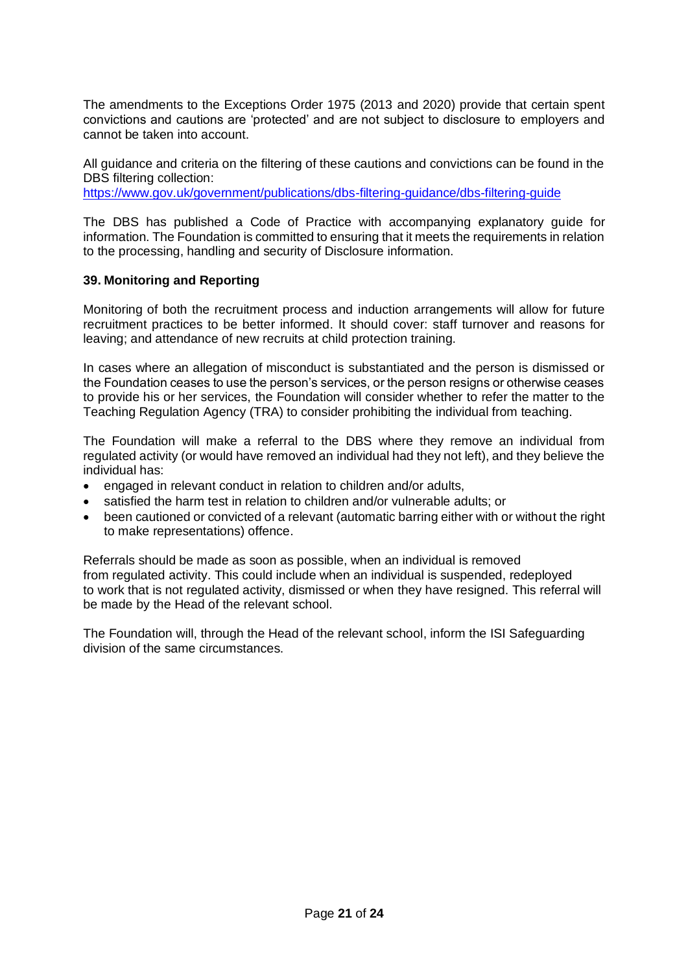The amendments to the Exceptions Order 1975 (2013 and 2020) provide that certain spent convictions and cautions are 'protected' and are not subject to disclosure to employers and cannot be taken into account.

All guidance and criteria on the filtering of these cautions and convictions can be found in the DBS filtering collection:

<https://www.gov.uk/government/publications/dbs-filtering-guidance/dbs-filtering-guide>

The DBS has published a Code of Practice with accompanying explanatory guide for information. The Foundation is committed to ensuring that it meets the requirements in relation to the processing, handling and security of Disclosure information.

# <span id="page-20-0"></span>**39. Monitoring and Reporting**

Monitoring of both the recruitment process and induction arrangements will allow for future recruitment practices to be better informed. It should cover: staff turnover and reasons for leaving; and attendance of new recruits at child protection training.

In cases where an allegation of misconduct is substantiated and the person is dismissed or the Foundation ceases to use the person's services, or the person resigns or otherwise ceases to provide his or her services, the Foundation will consider whether to refer the matter to the Teaching Regulation Agency (TRA) to consider prohibiting the individual from teaching.

The Foundation will make a referral to the DBS where they remove an individual from regulated activity (or would have removed an individual had they not left), and they believe the individual has:

- engaged in relevant conduct in relation to children and/or adults,
- satisfied the harm test in relation to children and/or vulnerable adults; or
- been cautioned or convicted of a relevant (automatic barring either with or without the right to make representations) offence.

Referrals should be made as soon as possible, when an individual is removed from regulated activity. This could include when an individual is suspended, redeployed to work that is not regulated activity, dismissed or when they have resigned. This referral will be made by the Head of the relevant school.

The Foundation will, through the Head of the relevant school, inform the ISI Safeguarding division of the same circumstances.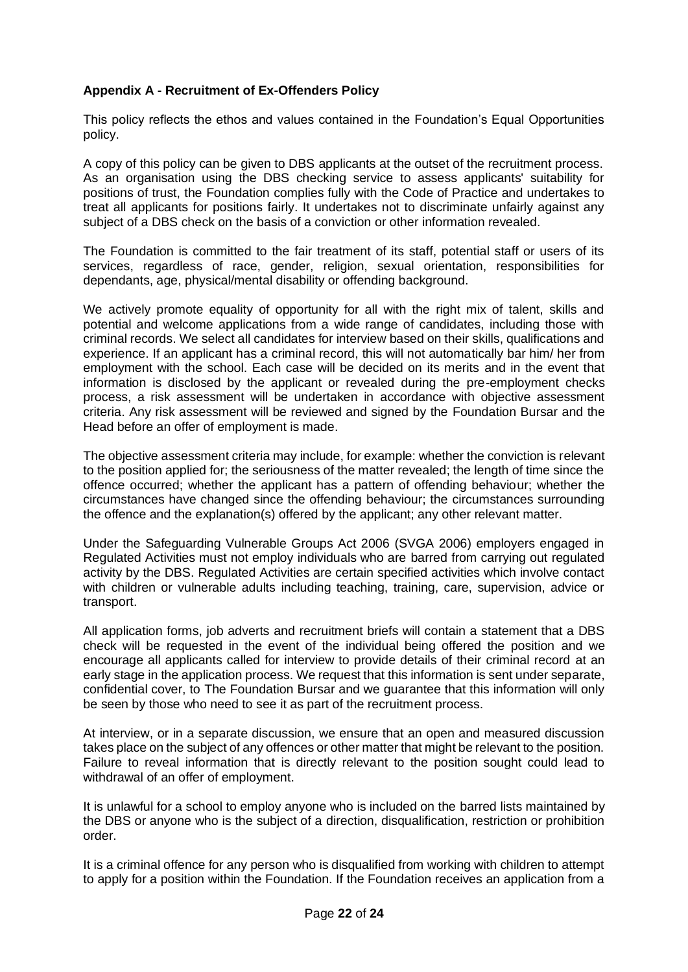# <span id="page-21-0"></span>**Appendix A - Recruitment of Ex-Offenders Policy**

This policy reflects the ethos and values contained in the Foundation's Equal Opportunities policy.

A copy of this policy can be given to DBS applicants at the outset of the recruitment process. As an organisation using the DBS checking service to assess applicants' suitability for positions of trust, the Foundation complies fully with the Code of Practice and undertakes to treat all applicants for positions fairly. It undertakes not to discriminate unfairly against any subject of a DBS check on the basis of a conviction or other information revealed.

The Foundation is committed to the fair treatment of its staff, potential staff or users of its services, regardless of race, gender, religion, sexual orientation, responsibilities for dependants, age, physical/mental disability or offending background.

We actively promote equality of opportunity for all with the right mix of talent, skills and potential and welcome applications from a wide range of candidates, including those with criminal records. We select all candidates for interview based on their skills, qualifications and experience. If an applicant has a criminal record, this will not automatically bar him/ her from employment with the school. Each case will be decided on its merits and in the event that information is disclosed by the applicant or revealed during the pre-employment checks process, a risk assessment will be undertaken in accordance with objective assessment criteria. Any risk assessment will be reviewed and signed by the Foundation Bursar and the Head before an offer of employment is made.

The objective assessment criteria may include, for example: whether the conviction is relevant to the position applied for; the seriousness of the matter revealed; the length of time since the offence occurred; whether the applicant has a pattern of offending behaviour; whether the circumstances have changed since the offending behaviour; the circumstances surrounding the offence and the explanation(s) offered by the applicant; any other relevant matter.

Under the Safeguarding Vulnerable Groups Act 2006 (SVGA 2006) employers engaged in Regulated Activities must not employ individuals who are barred from carrying out regulated activity by the DBS. Regulated Activities are certain specified activities which involve contact with children or vulnerable adults including teaching, training, care, supervision, advice or transport.

All application forms, job adverts and recruitment briefs will contain a statement that a DBS check will be requested in the event of the individual being offered the position and we encourage all applicants called for interview to provide details of their criminal record at an early stage in the application process. We request that this information is sent under separate, confidential cover, to The Foundation Bursar and we guarantee that this information will only be seen by those who need to see it as part of the recruitment process.

At interview, or in a separate discussion, we ensure that an open and measured discussion takes place on the subject of any offences or other matter that might be relevant to the position. Failure to reveal information that is directly relevant to the position sought could lead to withdrawal of an offer of employment.

It is unlawful for a school to employ anyone who is included on the barred lists maintained by the DBS or anyone who is the subject of a direction, disqualification, restriction or prohibition order.

It is a criminal offence for any person who is disqualified from working with children to attempt to apply for a position within the Foundation. If the Foundation receives an application from a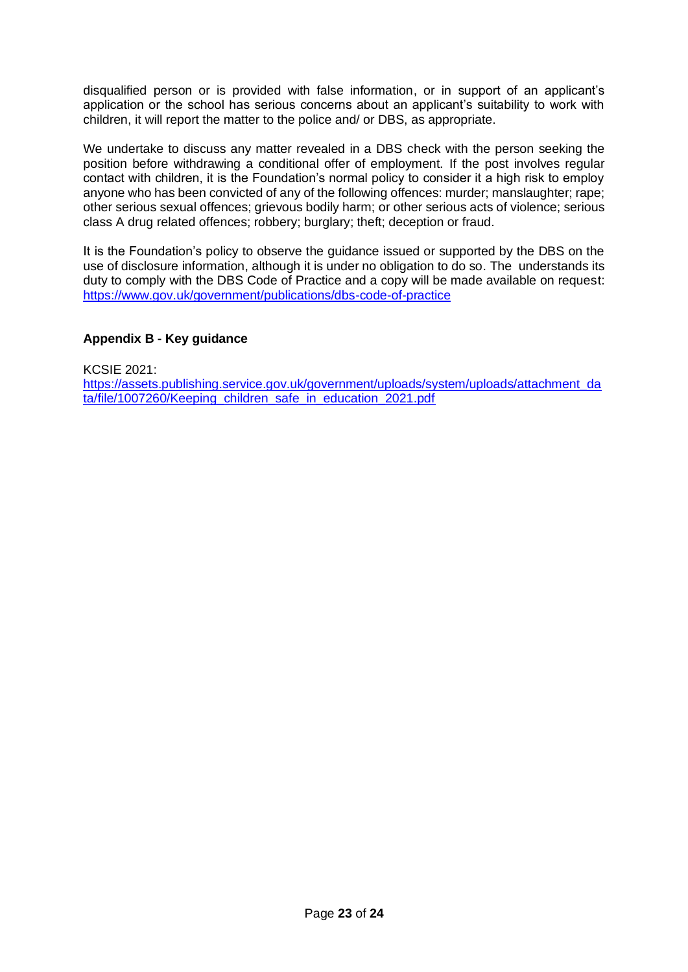disqualified person or is provided with false information, or in support of an applicant's application or the school has serious concerns about an applicant's suitability to work with children, it will report the matter to the police and/ or DBS, as appropriate.

We undertake to discuss any matter revealed in a DBS check with the person seeking the position before withdrawing a conditional offer of employment. If the post involves regular contact with children, it is the Foundation's normal policy to consider it a high risk to employ anyone who has been convicted of any of the following offences: murder; manslaughter; rape; other serious sexual offences; grievous bodily harm; or other serious acts of violence; serious class A drug related offences; robbery; burglary; theft; deception or fraud.

It is the Foundation's policy to observe the guidance issued or supported by the DBS on the use of disclosure information, although it is under no obligation to do so. The understands its duty to comply with the DBS Code of Practice and a copy will be made available on request: <https://www.gov.uk/government/publications/dbs-code-of-practice>

# <span id="page-22-0"></span>**Appendix B - Key guidance**

KCSIE 2021:

[https://assets.publishing.service.gov.uk/government/uploads/system/uploads/attachment\\_da](https://assets.publishing.service.gov.uk/government/uploads/system/uploads/attachment_data/file/1007260/Keeping_children_safe_in_education_2021.pdf) [ta/file/1007260/Keeping\\_children\\_safe\\_in\\_education\\_2021.pdf](https://assets.publishing.service.gov.uk/government/uploads/system/uploads/attachment_data/file/1007260/Keeping_children_safe_in_education_2021.pdf)